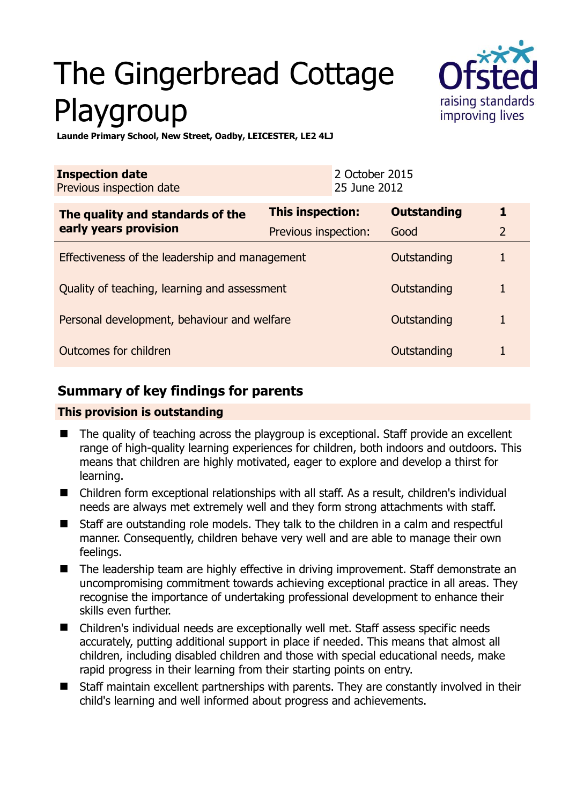# The Gingerbread Cottage Playgroup



**Launde Primary School, New Street, Oadby, LEICESTER, LE2 4LJ** 

| <b>Inspection date</b><br>Previous inspection date        |                         | 2 October 2015<br>25 June 2012 |                    |                |
|-----------------------------------------------------------|-------------------------|--------------------------------|--------------------|----------------|
| The quality and standards of the<br>early years provision | <b>This inspection:</b> |                                | <b>Outstanding</b> | 1              |
|                                                           | Previous inspection:    |                                | Good               | $\overline{2}$ |
| Effectiveness of the leadership and management            |                         |                                | Outstanding        |                |
| Quality of teaching, learning and assessment              |                         |                                | Outstanding        |                |
| Personal development, behaviour and welfare               |                         |                                | Outstanding        |                |
| Outcomes for children<br>Outstanding                      |                         |                                |                    |                |

## **Summary of key findings for parents**

## **This provision is outstanding**

- The quality of teaching across the playgroup is exceptional. Staff provide an excellent range of high-quality learning experiences for children, both indoors and outdoors. This means that children are highly motivated, eager to explore and develop a thirst for learning.
- Children form exceptional relationships with all staff. As a result, children's individual needs are always met extremely well and they form strong attachments with staff.
- Staff are outstanding role models. They talk to the children in a calm and respectful manner. Consequently, children behave very well and are able to manage their own feelings.
- The leadership team are highly effective in driving improvement. Staff demonstrate an uncompromising commitment towards achieving exceptional practice in all areas. They recognise the importance of undertaking professional development to enhance their skills even further.
- Children's individual needs are exceptionally well met. Staff assess specific needs accurately, putting additional support in place if needed. This means that almost all children, including disabled children and those with special educational needs, make rapid progress in their learning from their starting points on entry.
- Staff maintain excellent partnerships with parents. They are constantly involved in their child's learning and well informed about progress and achievements.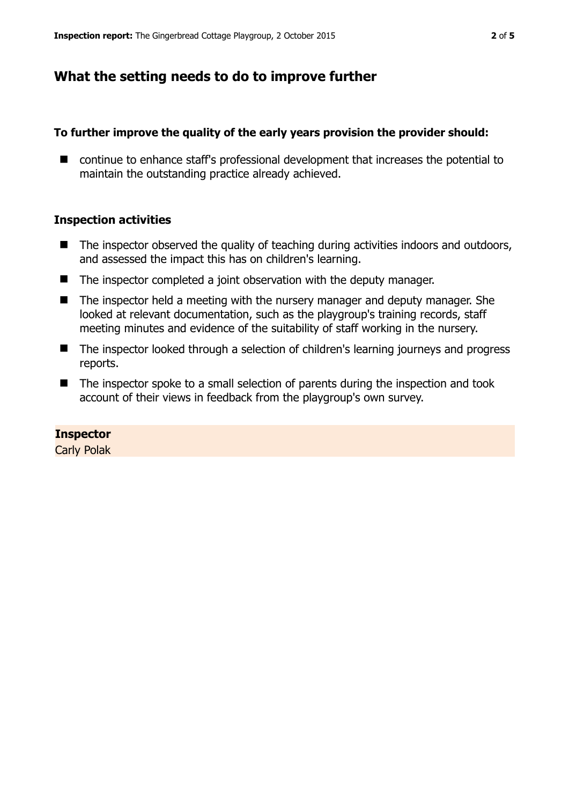## **What the setting needs to do to improve further**

### **To further improve the quality of the early years provision the provider should:**

■ continue to enhance staff's professional development that increases the potential to maintain the outstanding practice already achieved.

#### **Inspection activities**

- $\blacksquare$  The inspector observed the quality of teaching during activities indoors and outdoors, and assessed the impact this has on children's learning.
- The inspector completed a joint observation with the deputy manager.
- The inspector held a meeting with the nursery manager and deputy manager. She looked at relevant documentation, such as the playgroup's training records, staff meeting minutes and evidence of the suitability of staff working in the nursery.
- The inspector looked through a selection of children's learning journeys and progress reports.
- The inspector spoke to a small selection of parents during the inspection and took account of their views in feedback from the playgroup's own survey.

#### **Inspector**

Carly Polak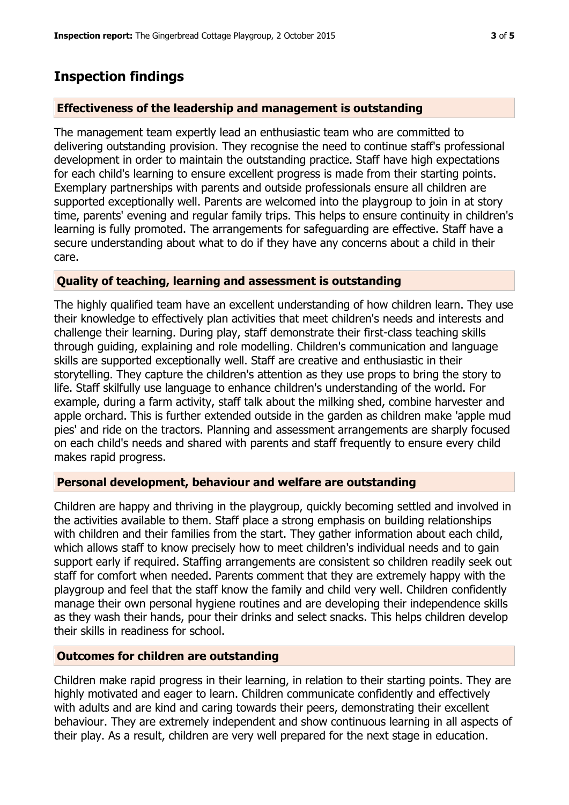## **Inspection findings**

## **Effectiveness of the leadership and management is outstanding**

The management team expertly lead an enthusiastic team who are committed to delivering outstanding provision. They recognise the need to continue staff's professional development in order to maintain the outstanding practice. Staff have high expectations for each child's learning to ensure excellent progress is made from their starting points. Exemplary partnerships with parents and outside professionals ensure all children are supported exceptionally well. Parents are welcomed into the playgroup to join in at story time, parents' evening and regular family trips. This helps to ensure continuity in children's learning is fully promoted. The arrangements for safeguarding are effective. Staff have a secure understanding about what to do if they have any concerns about a child in their care.

## **Quality of teaching, learning and assessment is outstanding**

The highly qualified team have an excellent understanding of how children learn. They use their knowledge to effectively plan activities that meet children's needs and interests and challenge their learning. During play, staff demonstrate their first-class teaching skills through guiding, explaining and role modelling. Children's communication and language skills are supported exceptionally well. Staff are creative and enthusiastic in their storytelling. They capture the children's attention as they use props to bring the story to life. Staff skilfully use language to enhance children's understanding of the world. For example, during a farm activity, staff talk about the milking shed, combine harvester and apple orchard. This is further extended outside in the garden as children make 'apple mud pies' and ride on the tractors. Planning and assessment arrangements are sharply focused on each child's needs and shared with parents and staff frequently to ensure every child makes rapid progress.

## **Personal development, behaviour and welfare are outstanding**

Children are happy and thriving in the playgroup, quickly becoming settled and involved in the activities available to them. Staff place a strong emphasis on building relationships with children and their families from the start. They gather information about each child, which allows staff to know precisely how to meet children's individual needs and to gain support early if required. Staffing arrangements are consistent so children readily seek out staff for comfort when needed. Parents comment that they are extremely happy with the playgroup and feel that the staff know the family and child very well. Children confidently manage their own personal hygiene routines and are developing their independence skills as they wash their hands, pour their drinks and select snacks. This helps children develop their skills in readiness for school.

## **Outcomes for children are outstanding**

Children make rapid progress in their learning, in relation to their starting points. They are highly motivated and eager to learn. Children communicate confidently and effectively with adults and are kind and caring towards their peers, demonstrating their excellent behaviour. They are extremely independent and show continuous learning in all aspects of their play. As a result, children are very well prepared for the next stage in education.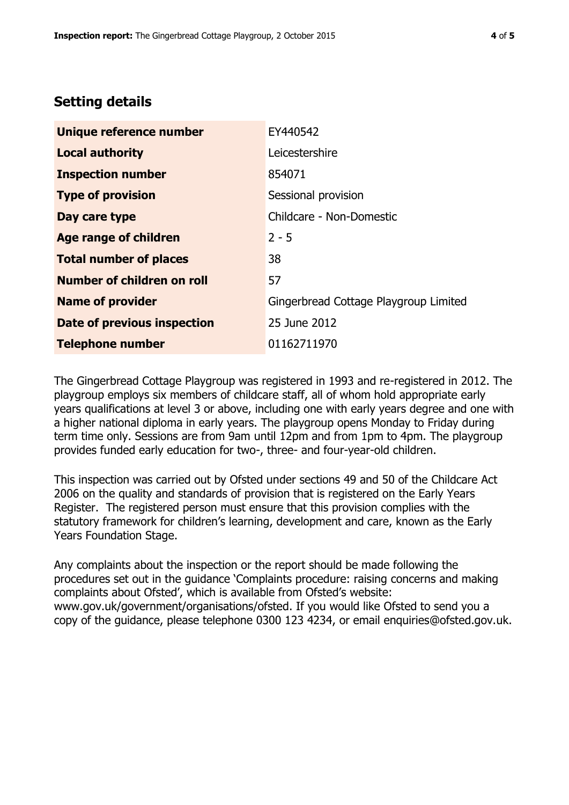# **Setting details**

| Unique reference number       | EY440542                              |  |
|-------------------------------|---------------------------------------|--|
| <b>Local authority</b>        | Leicestershire                        |  |
| <b>Inspection number</b>      | 854071                                |  |
| <b>Type of provision</b>      | Sessional provision                   |  |
| Day care type                 | Childcare - Non-Domestic              |  |
| <b>Age range of children</b>  | $2 - 5$                               |  |
| <b>Total number of places</b> | 38                                    |  |
| Number of children on roll    | 57                                    |  |
| <b>Name of provider</b>       | Gingerbread Cottage Playgroup Limited |  |
| Date of previous inspection   | 25 June 2012                          |  |
| <b>Telephone number</b>       | 01162711970                           |  |

The Gingerbread Cottage Playgroup was registered in 1993 and re-registered in 2012. The playgroup employs six members of childcare staff, all of whom hold appropriate early years qualifications at level 3 or above, including one with early years degree and one with a higher national diploma in early years. The playgroup opens Monday to Friday during term time only. Sessions are from 9am until 12pm and from 1pm to 4pm. The playgroup provides funded early education for two-, three- and four-year-old children.

This inspection was carried out by Ofsted under sections 49 and 50 of the Childcare Act 2006 on the quality and standards of provision that is registered on the Early Years Register. The registered person must ensure that this provision complies with the statutory framework for children's learning, development and care, known as the Early Years Foundation Stage.

Any complaints about the inspection or the report should be made following the procedures set out in the guidance 'Complaints procedure: raising concerns and making complaints about Ofsted', which is available from Ofsted's website: www.gov.uk/government/organisations/ofsted. If you would like Ofsted to send you a copy of the guidance, please telephone 0300 123 4234, or email enquiries@ofsted.gov.uk.